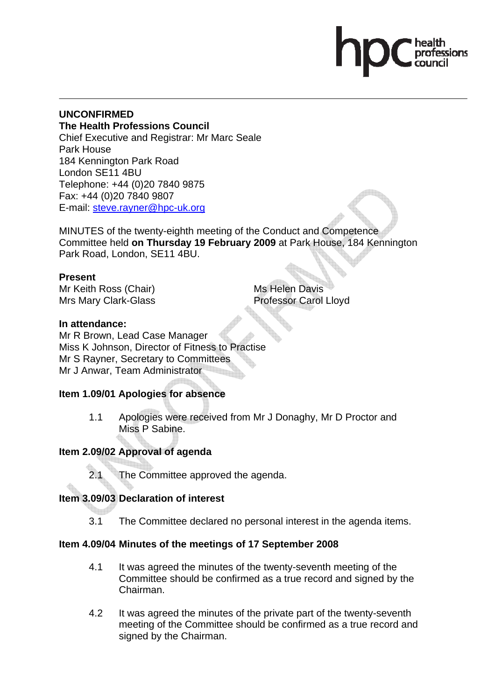# **UNCONFIRMED The Health Professions Council**

Chief Executive and Registrar: Mr Marc Seale Park House 184 Kennington Park Road London SE11 4BU Telephone: +44 (0)20 7840 9875 Fax: +44 (0)20 7840 9807 E-mail: steve.rayner@hpc-uk.org

MINUTES of the twenty-eighth meeting of the Conduct and Competence Committee held **on Thursday 19 February 2009** at Park House, 184 Kennington Park Road, London, SE11 4BU.

# **Present**

Mr Keith Ross (Chair) Mrs Mary Clark-Glass Ms Helen Davis Professor Carol Lloyd

# **In attendance:**

Mr R Brown, Lead Case Manager Miss K Johnson, Director of Fitness to Practise Mr S Rayner, Secretary to Committees Mr J Anwar, Team Administrator

# **Item 1.09/01 Apologies for absence**

1.1 Apologies were received from Mr J Donaghy, Mr D Proctor and Miss P Sabine.

# **Item 2.09/02 Approval of agenda**

2.1 The Committee approved the agenda.

# **Item 3.09/03 Declaration of interest**

3.1 The Committee declared no personal interest in the agenda items.

# **Item 4.09/04 Minutes of the meetings of 17 September 2008**

- 4.1 It was agreed the minutes of the twenty-seventh meeting of the Committee should be confirmed as a true record and signed by the Chairman.
- 4.2 It was agreed the minutes of the private part of the twenty-seventh meeting of the Committee should be confirmed as a true record and signed by the Chairman.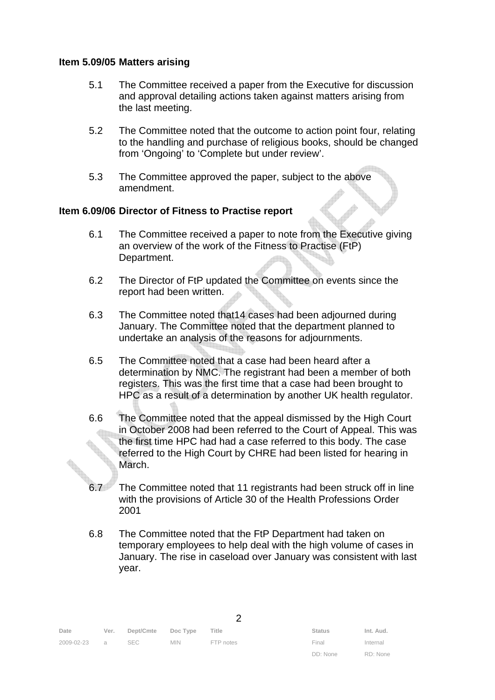### **Item 5.09/05 Matters arising**

- 5.1 The Committee received a paper from the Executive for discussion and approval detailing actions taken against matters arising from the last meeting.
- 5.2 The Committee noted that the outcome to action point four, relating to the handling and purchase of religious books, should be changed from 'Ongoing' to 'Complete but under review'.
- 5.3 The Committee approved the paper, subject to the above amendment.

## **Item 6.09/06 Director of Fitness to Practise report**

- 6.1 The Committee received a paper to note from the Executive giving an overview of the work of the Fitness to Practise (FtP) Department.
- 6.2 The Director of FtP updated the Committee on events since the report had been written.
- 6.3 The Committee noted that14 cases had been adjourned during January. The Committee noted that the department planned to undertake an analysis of the reasons for adjournments.
- 6.5 The Committee noted that a case had been heard after a determination by NMC. The registrant had been a member of both registers. This was the first time that a case had been brought to HPC as a result of a determination by another UK health regulator.
- 6.6 The Committee noted that the appeal dismissed by the High Court in October 2008 had been referred to the Court of Appeal. This was the first time HPC had had a case referred to this body. The case referred to the High Court by CHRE had been listed for hearing in March.
- 6.7 The Committee noted that 11 registrants had been struck off in line with the provisions of Article 30 of the Health Professions Order 2001
- 6.8 The Committee noted that the FtP Department had taken on temporary employees to help deal with the high volume of cases in January. The rise in caseload over January was consistent with last year.

| Date         | Ver. | Dept/Cmte Doc Type Title |            |           | <b>Status</b> | Int. Aud. |
|--------------|------|--------------------------|------------|-----------|---------------|-----------|
| 2009-02-23 a |      | SEC                      | <b>MIN</b> | FTP notes | Final         | Internal  |

| <b>Status</b> | Int. Aud. |
|---------------|-----------|
| Final         | Internal  |
| DD: None      | RD: None  |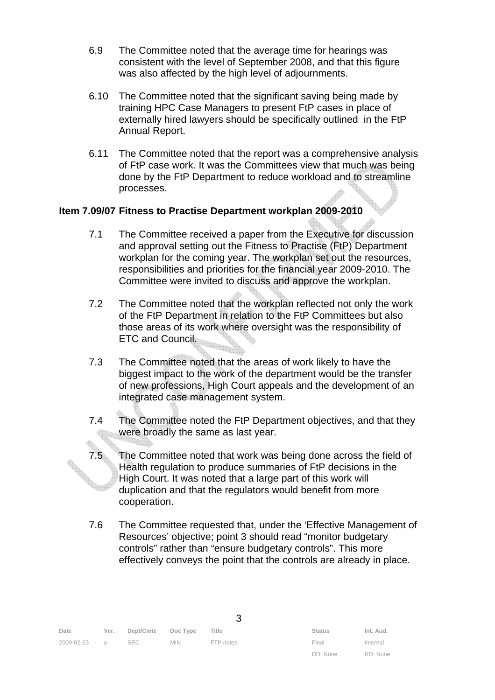- 6.9 The Committee noted that the average time for hearings was consistent with the level of September 2008, and that this figure was also affected by the high level of adjournments.
- 6.10 The Committee noted that the significant saving being made by training HPC Case Managers to present FtP cases in place of externally hired lawyers should be specifically outlined in the FtP Annual Report.
- 6.11 The Committee noted that the report was a comprehensive analysis of FtP case work. It was the Committees view that much was being done by the FtP Department to reduce workload and to streamline processes.

### **Item 7.09/07 Fitness to Practise Department workplan 2009-2010**

- 7.1 The Committee received a paper from the Executive for discussion and approval setting out the Fitness to Practise (FtP) Department workplan for the coming year. The workplan set out the resources, responsibilities and priorities for the financial year 2009-2010. The Committee were invited to discuss and approve the workplan.
- 7.2 The Committee noted that the workplan reflected not only the work of the FtP Department in relation to the FtP Committees but also those areas of its work where oversight was the responsibility of ETC and Council.
- 7.3 The Committee noted that the areas of work likely to have the biggest impact to the work of the department would be the transfer of new professions, High Court appeals and the development of an integrated case management system.
- 7.4 The Committee noted the FtP Department objectives, and that they were broadly the same as last year.
- 7.5 The Committee noted that work was being done across the field of Health regulation to produce summaries of FtP decisions in the High Court. It was noted that a large part of this work will duplication and that the regulators would benefit from more cooperation.
- 7.6 The Committee requested that, under the 'Effective Management of Resources' objective; point 3 should read "monitor budgetary controls" rather than "ensure budgetary controls". This more effectively conveys the point that the controls are already in place.

3

| Date         | Ver. Dept/Cmte Doc Type Title |            |           | <b>Status</b> | Int. Aud. |
|--------------|-------------------------------|------------|-----------|---------------|-----------|
| 2009-02-23 a | SEC                           | <b>MIN</b> | FTP notes | Final         | Internal  |

| <b>Status</b> | Int. Aud. |
|---------------|-----------|
| Final         | Internal  |
| DD: None      | RD: None  |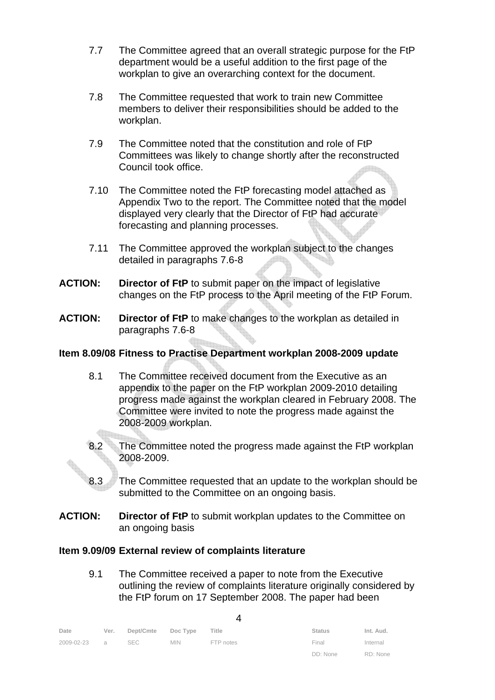- 7.7 The Committee agreed that an overall strategic purpose for the FtP department would be a useful addition to the first page of the workplan to give an overarching context for the document.
- 7.8 The Committee requested that work to train new Committee members to deliver their responsibilities should be added to the workplan.
- 7.9 The Committee noted that the constitution and role of FtP Committees was likely to change shortly after the reconstructed Council took office.
- 7.10 The Committee noted the FtP forecasting model attached as Appendix Two to the report. The Committee noted that the model displayed very clearly that the Director of FtP had accurate forecasting and planning processes.
- 7.11 The Committee approved the workplan subject to the changes detailed in paragraphs 7.6-8
- **ACTION: Director of FtP** to submit paper on the impact of legislative changes on the FtP process to the April meeting of the FtP Forum.
- **ACTION: Director of FtP** to make changes to the workplan as detailed in paragraphs 7.6-8

## **Item 8.09/08 Fitness to Practise Department workplan 2008-2009 update**

- 8.1 The Committee received document from the Executive as an appendix to the paper on the FtP workplan 2009-2010 detailing progress made against the workplan cleared in February 2008. The Committee were invited to note the progress made against the 2008-2009 workplan.
- 8.2 The Committee noted the progress made against the FtP workplan 2008-2009.
- 8.3 The Committee requested that an update to the workplan should be submitted to the Committee on an ongoing basis.
- **ACTION: Director of FtP** to submit workplan updates to the Committee on an ongoing basis

### **Item 9.09/09 External review of complaints literature**

9.1 The Committee received a paper to note from the Executive outlining the review of complaints literature originally considered by the FtP forum on 17 September 2008. The paper had been

| Date         | Ver. Dept/Cmte Doc Type |            | Title     | <b>Status</b> | Int. Aud. |
|--------------|-------------------------|------------|-----------|---------------|-----------|
| 2009-02-23 a | SEC                     | <b>MIN</b> | FTP notes | Final         | Internal  |
|              |                         |            |           | DD: None      | RD: None  |

| ш<br>ш |
|--------|
|        |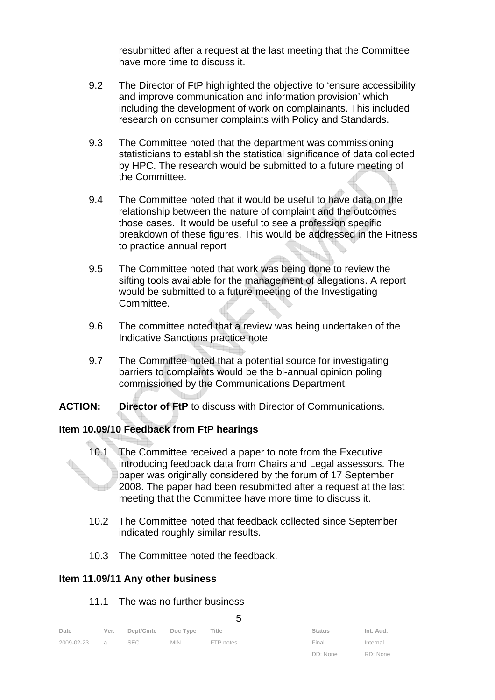resubmitted after a request at the last meeting that the Committee have more time to discuss it.

- 9.2 The Director of FtP highlighted the objective to 'ensure accessibility and improve communication and information provision' which including the development of work on complainants. This included research on consumer complaints with Policy and Standards.
- 9.3 The Committee noted that the department was commissioning statisticians to establish the statistical significance of data collected by HPC. The research would be submitted to a future meeting of the Committee.
- 9.4 The Committee noted that it would be useful to have data on the relationship between the nature of complaint and the outcomes those cases. It would be useful to see a profession specific breakdown of these figures. This would be addressed in the Fitness to practice annual report
- 9.5 The Committee noted that work was being done to review the sifting tools available for the management of allegations. A report would be submitted to a future meeting of the Investigating Committee.
- 9.6 The committee noted that a review was being undertaken of the Indicative Sanctions practice note.
- 9.7 The Committee noted that a potential source for investigating barriers to complaints would be the bi-annual opinion poling commissioned by the Communications Department.
- **ACTION: Director of FtP** to discuss with Director of Communications.

### **Item 10.09/10 Feedback from FtP hearings**

- 10.1 The Committee received a paper to note from the Executive introducing feedback data from Chairs and Legal assessors. The paper was originally considered by the forum of 17 September 2008. The paper had been resubmitted after a request at the last meeting that the Committee have more time to discuss it.
- 10.2 The Committee noted that feedback collected since September indicated roughly similar results.
- 10.3 The Committee noted the feedback.

### **Item 11.09/11 Any other business**

### 11.1 The was no further business

| ۰.<br>۰, |         |
|----------|---------|
|          | I<br>۰. |
| M.       | v       |

| Date         | Ver. | Dept/Cmte Doc Type |            | Title     | <b>Status</b>     | Int. Aud. |
|--------------|------|--------------------|------------|-----------|-------------------|-----------|
| 2009-02-23 a |      | SEC                | <b>MIN</b> | FTP notes | Final             | Internal  |
|              |      |                    |            |           | DD: None RD: None |           |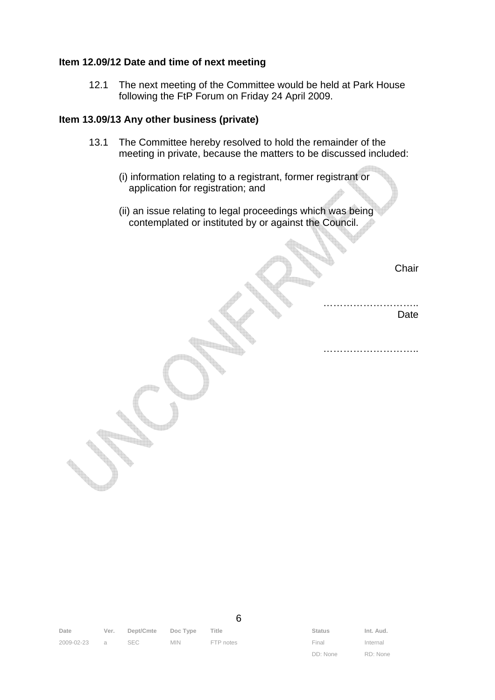#### **Item 12.09/12 Date and time of next meeting**

12.1 The next meeting of the Committee would be held at Park House following the FtP Forum on Friday 24 April 2009.

#### **Item 13.09/13 Any other business (private)**

- 13.1 The Committee hereby resolved to hold the remainder of the meeting in private, because the matters to be discussed included:
	- (i) information relating to a registrant, former registrant or application for registration; and
	- (ii) an issue relating to legal proceedings which was being contemplated or instituted by or against the Council.

**Chair** 

………………………………… Date

……………………………………

| Date         | Ver. Dept/Cmte Doc Type Title |            |           | <b>Status</b> | Int. Aud. |
|--------------|-------------------------------|------------|-----------|---------------|-----------|
| 2009-02-23 a | SEC                           | <b>MIN</b> | FTP notes | Final         | Internal  |

6

DD: None

Internal RD: None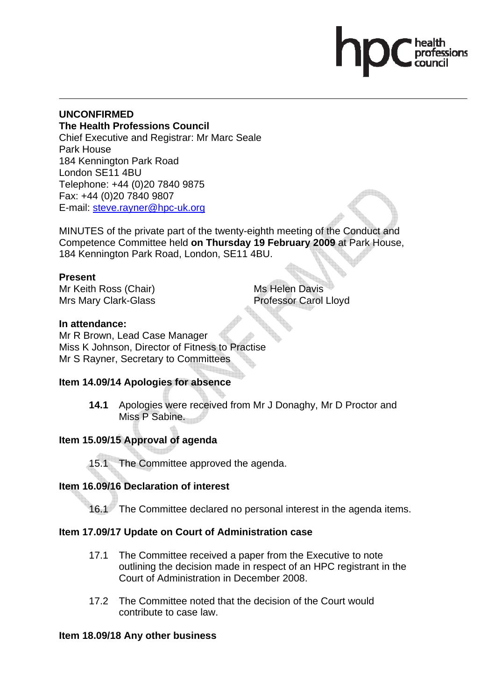### **UNCONFIRMED The Health Professions Council** Chief Executive and Registrar: Mr Marc Seale Park House 184 Kennington Park Road London SE11 4BU Telephone: +44 (0)20 7840 9875 Fax: +44 (0)20 7840 9807 E-mail: steve.rayner@hpc-uk.org

MINUTES of the private part of the twenty-eighth meeting of the Conduct and Competence Committee held **on Thursday 19 February 2009** at Park House, 184 Kennington Park Road, London, SE11 4BU.

# **Present**

Mr Keith Ross (Chair) Mrs Mary Clark-Glass Ms Helen Davis Professor Carol Lloyd

# **In attendance:**

Mr R Brown, Lead Case Manager Miss K Johnson, Director of Fitness to Practise Mr S Rayner, Secretary to Committees

# **Item 14.09/14 Apologies for absence**

**14.1** Apologies were received from Mr J Donaghy, Mr D Proctor and Miss P Sabine.

# **Item 15.09/15 Approval of agenda**

15.1 The Committee approved the agenda.

# **Item 16.09/16 Declaration of interest**

16.1 The Committee declared no personal interest in the agenda items.

# **Item 17.09/17 Update on Court of Administration case**

- 17.1 The Committee received a paper from the Executive to note outlining the decision made in respect of an HPC registrant in the Court of Administration in December 2008.
- 17.2 The Committee noted that the decision of the Court would contribute to case law.

# **Item 18.09/18 Any other business**